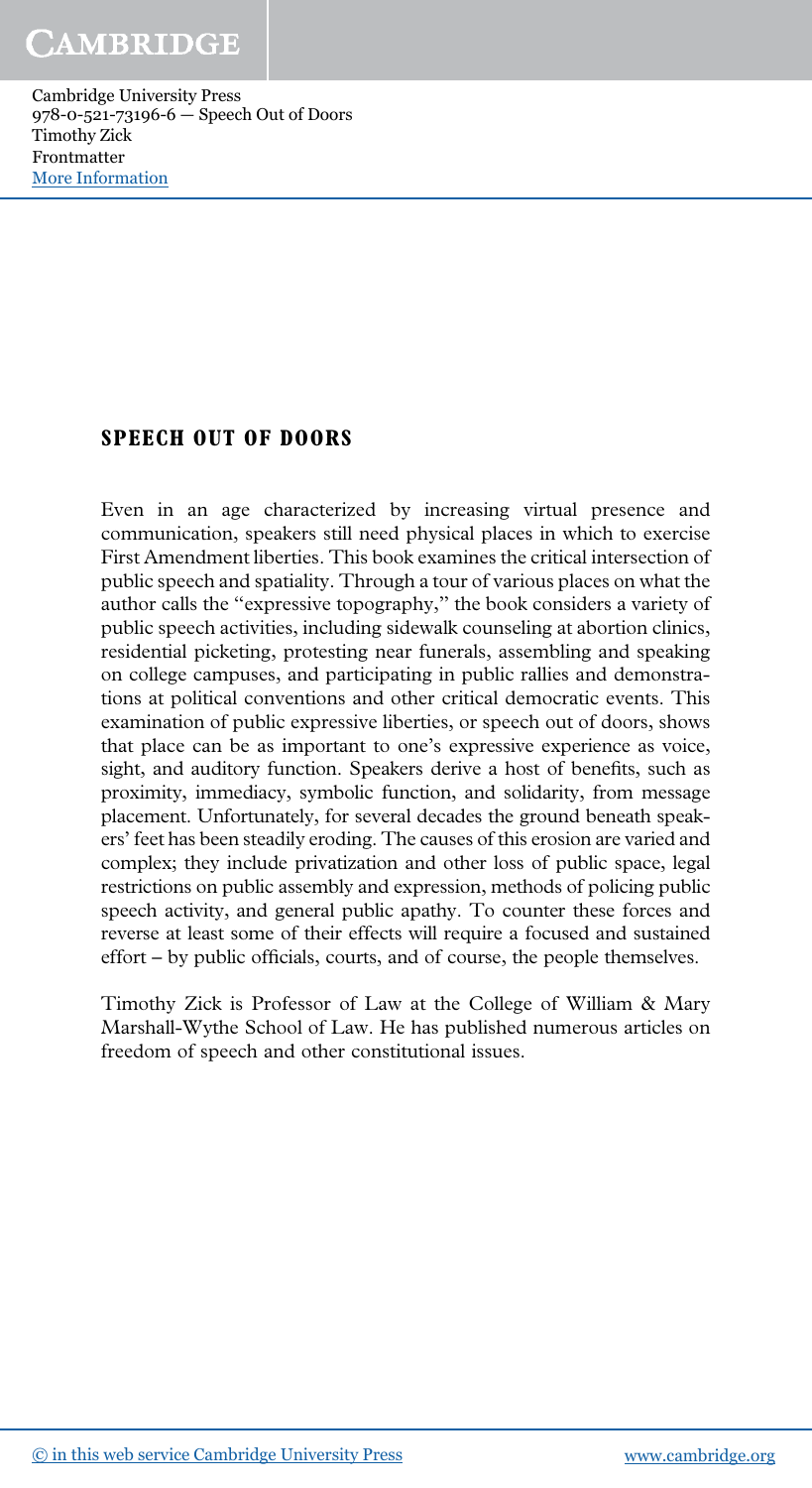#### SPEECH OUT OF DOORS

Even in an age characterized by increasing virtual presence and communication, speakers still need physical places in which to exercise First Amendment liberties. This book examines the critical intersection of public speech and spatiality. Through a tour of various places on what the author calls the "expressive topography," the book considers a variety of public speech activities, including sidewalk counseling at abortion clinics, residential picketing, protesting near funerals, assembling and speaking on college campuses, and participating in public rallies and demonstrations at political conventions and other critical democratic events. This examination of public expressive liberties, or speech out of doors, shows that place can be as important to one's expressive experience as voice, sight, and auditory function. Speakers derive a host of benefits, such as proximity, immediacy, symbolic function, and solidarity, from message placement. Unfortunately, for several decades the ground beneath speakers' feet has been steadily eroding. The causes of this erosion are varied and complex; they include privatization and other loss of public space, legal restrictions on public assembly and expression, methods of policing public speech activity, and general public apathy. To counter these forces and reverse at least some of their effects will require a focused and sustained effort – by public officials, courts, and of course, the people themselves.

Timothy Zick is Professor of Law at the College of William & Mary Marshall-Wythe School of Law. He has published numerous articles on freedom of speech and other constitutional issues.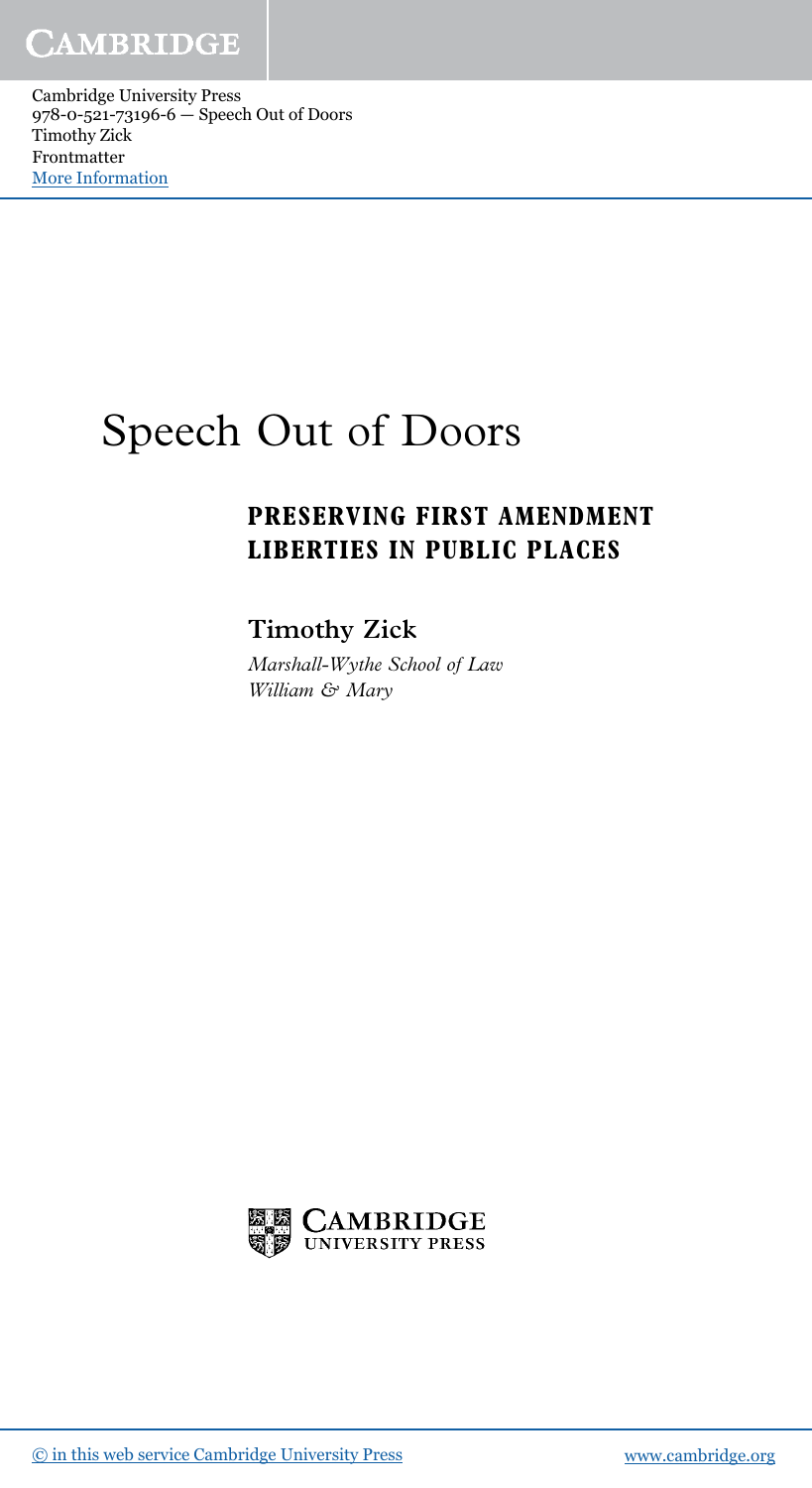# Speech Out of Doors

### PRESERVING FIRST AMENDMENT LIBERTIES IN PUBLIC PLACES

Timothy Zick

Marshall-Wythe School of Law William & Mary

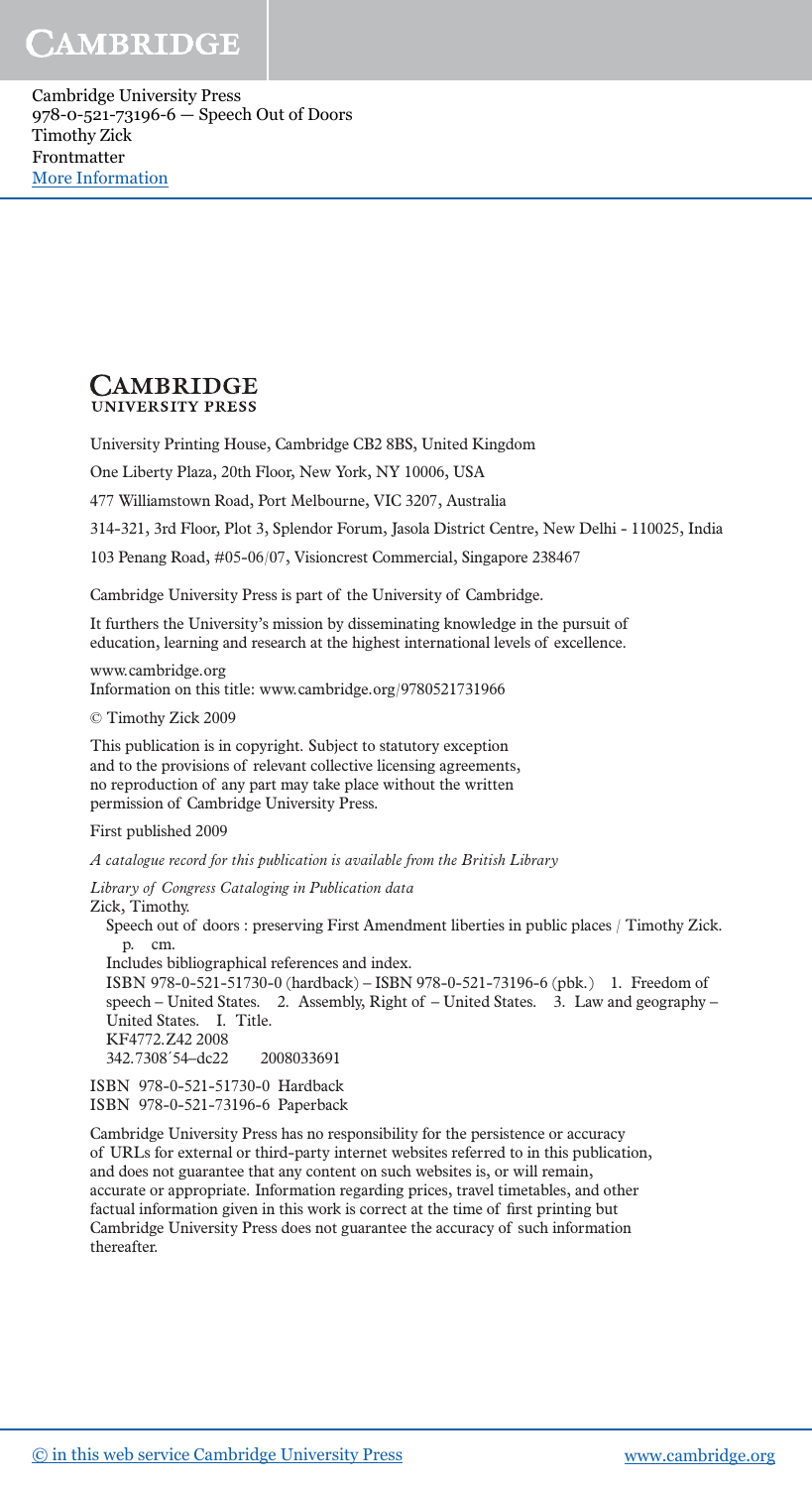Cambridge University Press 978-0-521-73196-6 — Speech Out of Doors Timothy Zick Frontmatter [More Information](www.cambridge.org/9780521731966)

#### **CAMBRIDGE UNIVERSITY PRESS**

University Printing House, Cambridge CB2 8BS, United Kingdom

One Liberty Plaza, 20th Floor, New York, NY 10006, USA

477 Williamstown Road, Port Melbourne, VIC 3207, Australia

314-321, 3rd Floor, Plot 3, Splendor Forum, Jasola District Centre, New Delhi - 110025, India

103 Penang Road, #05-06/07, Visioncrest Commercial, Singapore 238467

Cambridge University Press is part of the University of Cambridge.

It furthers the University's mission by disseminating knowledge in the pursuit of education, learning and research at the highest international levels of excellence.

www.cambridge.org Information on this title: www.cambridge.org/9780521731966

© Timothy Zick 2009

This publication is in copyright. Subject to statutory exception and to the provisions of relevant collective licensing agreements, no reproduction of any part may take place without the written permission of Cambridge University Press.

#### First published 2009

*A catalogue record for this publication is available from the British Library*

*Library of Congress Cataloging in Publication data*

Zick, Timothy.

 Speech out of doors : preserving First Amendment liberties in public places / Timothy Zick. p. cm.

Includes bibliographical references and index.

ISBN 978-0-521-51730-0 (hardback) – ISBN 978-0-521-73196-6 (pbk.) 1. Freedom of speech – United States. 2. Assembly, Right of – United States. 3. Law and geography – United States. I. Title. KF4772.Z42 2008 342.7308´54–dc22 2008033691

ISBN 978-0-521-51730-0 Hardback ISBN 978-0-521-73196-6 Paperback

Cambridge University Press has no responsibility for the persistence or accuracy of URLs for external or third-party internet websites referred to in this publication, and does not guarantee that any content on such websites is, or will remain, accurate or appropriate. Information regarding prices, travel timetables, and other factual information given in this work is correct at the time of first printing but Cambridge University Press does not guarantee the accuracy of such information thereafter.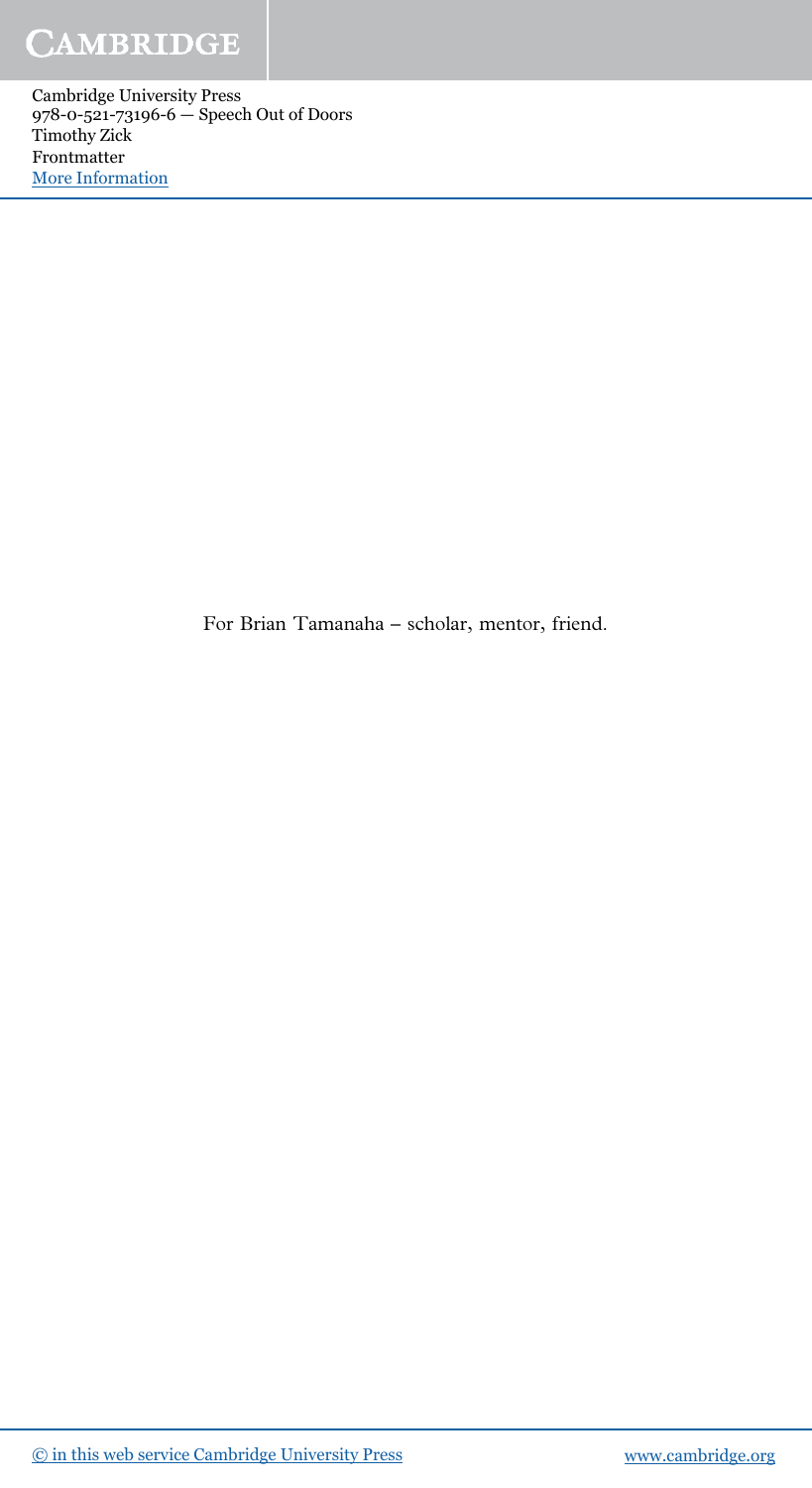Cambridge University Press 978-0-521-73196-6 — Speech Out of Doors Timothy Zick Frontmatter [More Information](www.cambridge.org/9780521731966)

For Brian Tamanaha – scholar, mentor, friend.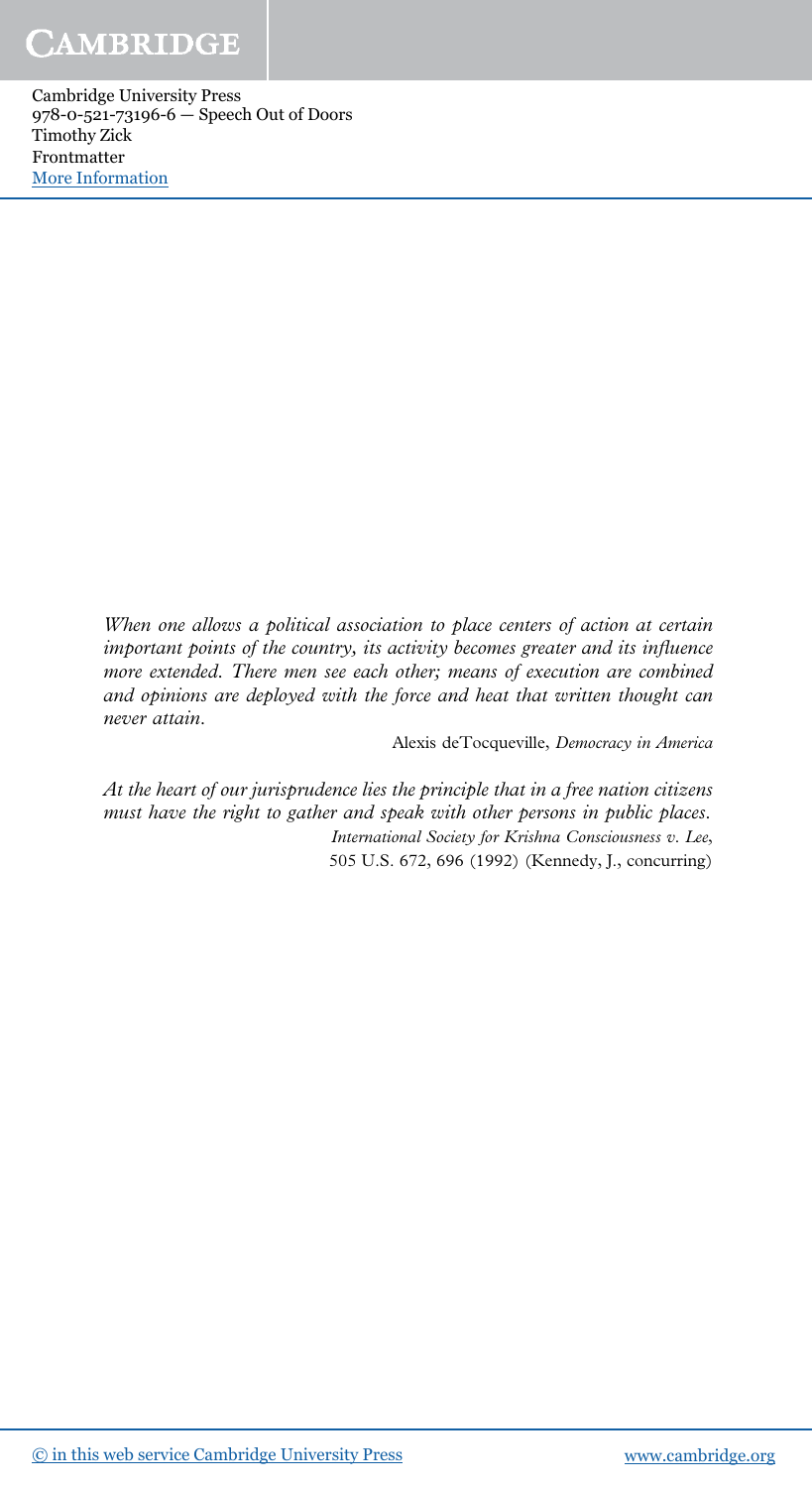Cambridge University Press 978-0-521-73196-6 — Speech Out of Doors Timothy Zick Frontmatter [More Information](www.cambridge.org/9780521731966)

> When one allows a political association to place centers of action at certain important points of the country, its activity becomes greater and its influence more extended. There men see each other; means of execution are combined and opinions are deployed with the force and heat that written thought can never attain.

> > Alexis deTocqueville, Democracy in America

At the heart of our jurisprudence lies the principle that in a free nation citizens must have the right to gather and speak with other persons in public places. International Society for Krishna Consciousness v. Lee, 505 U.S. 672, 696 (1992) (Kennedy, J., concurring)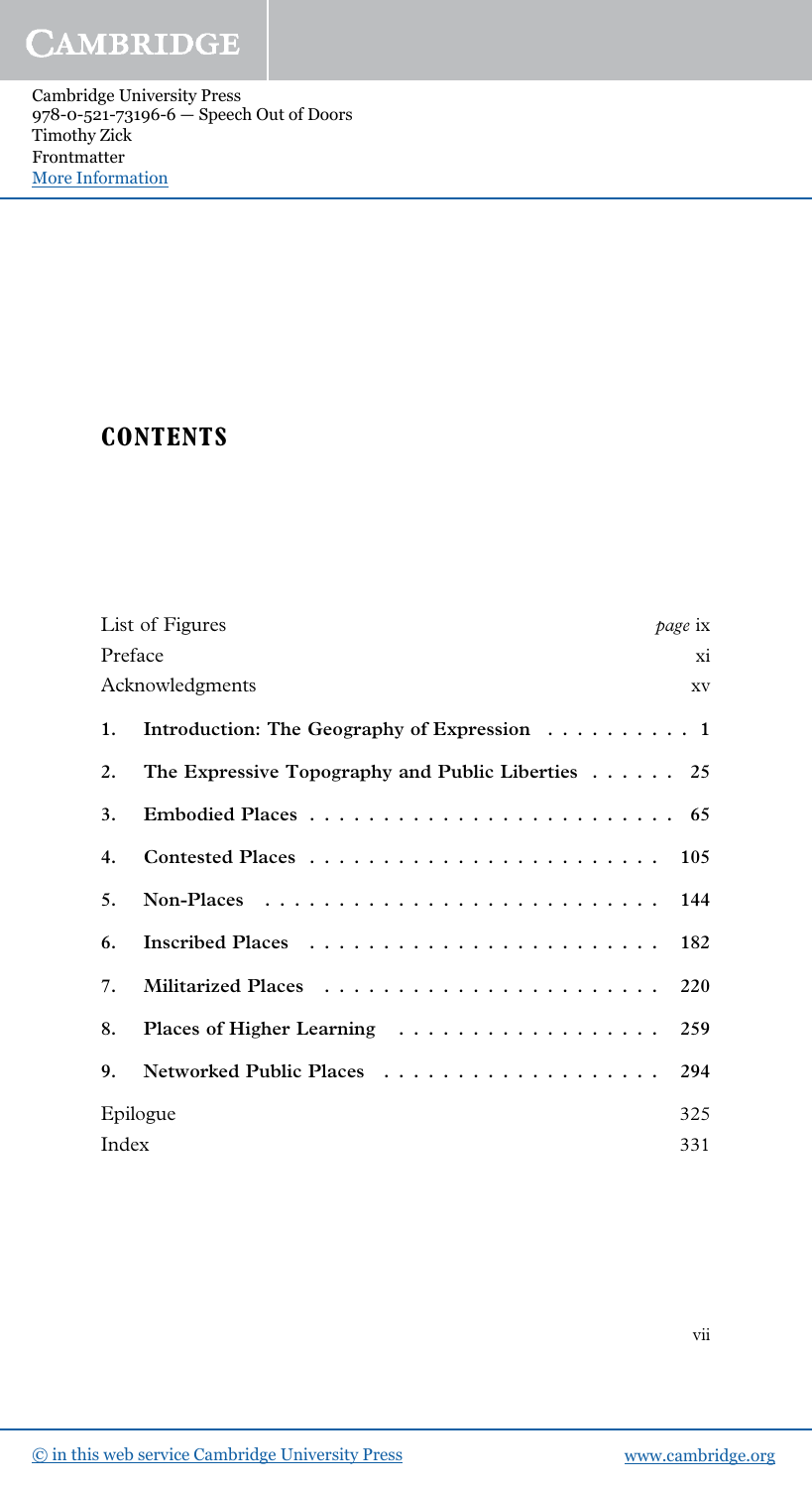#### **CONTENTS**

|         | List of Figures                                               |  | <i>page</i> ix |
|---------|---------------------------------------------------------------|--|----------------|
| Preface |                                                               |  | xi             |
|         | Acknowledgments                                               |  |                |
| 1.      | Introduction: The Geography of Expression $\dots \dots \dots$ |  |                |
| 2.      | The Expressive Topography and Public Liberties 25             |  |                |
| 3.      |                                                               |  |                |
| 4.      |                                                               |  | 105            |
| 5.      |                                                               |  | 144            |
| 6.      |                                                               |  | 182            |
| 7.      |                                                               |  | 220            |
| 8.      |                                                               |  | 259            |
| 9.      |                                                               |  | 294            |
|         | Epilogue                                                      |  |                |
| Index   |                                                               |  | 331            |

vii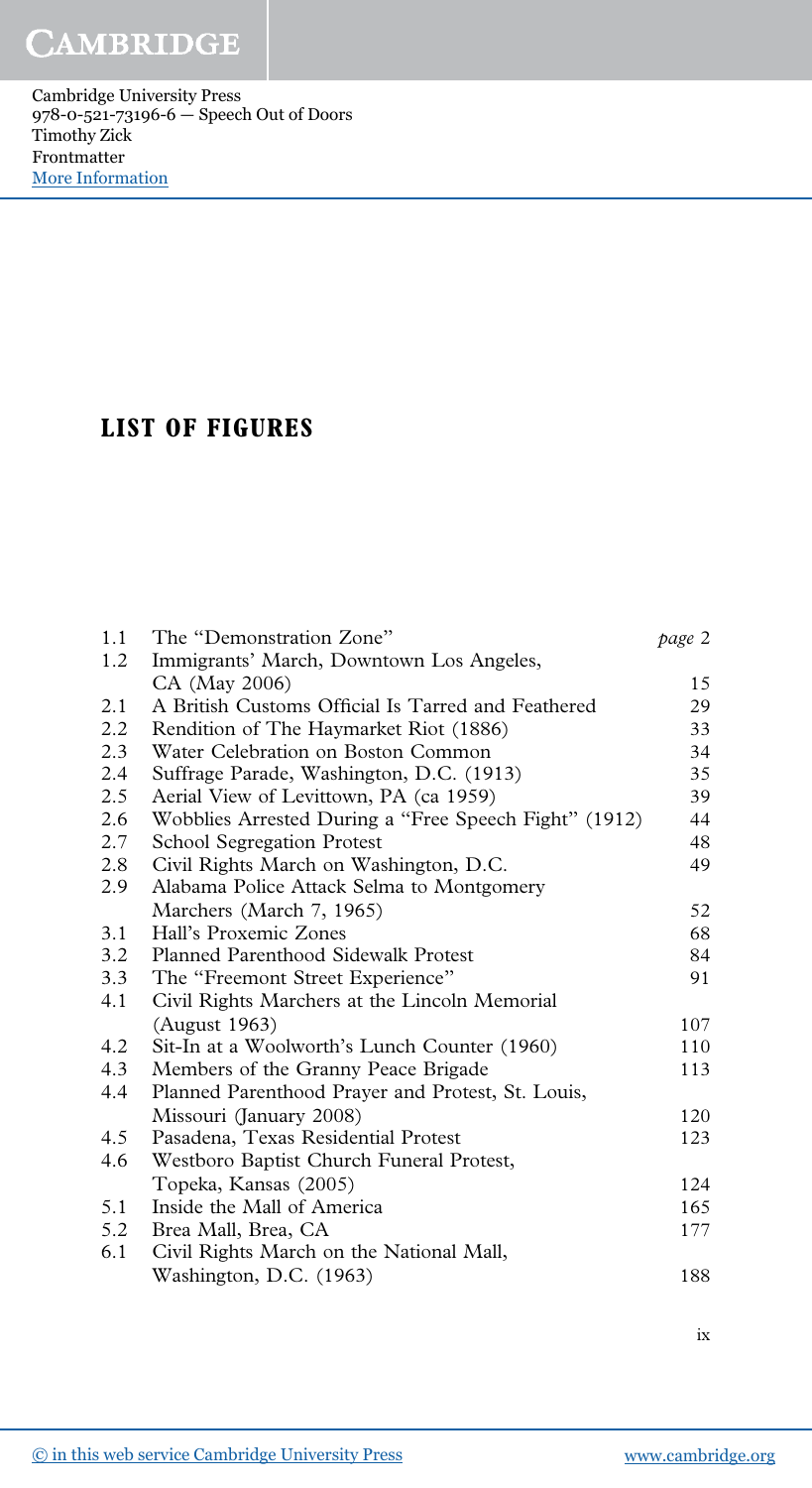### LIST OF FIGURES

| 1.1 | The "Demonstration Zone"                              | page 2 |
|-----|-------------------------------------------------------|--------|
| 1.2 | Immigrants' March, Downtown Los Angeles,              |        |
|     | CA (May 2006)                                         | 15     |
| 2.1 | A British Customs Official Is Tarred and Feathered    | 29     |
| 2.2 | Rendition of The Haymarket Riot (1886)                | 33     |
| 2.3 | Water Celebration on Boston Common                    | 34     |
| 2.4 | Suffrage Parade, Washington, D.C. (1913)              | 35     |
| 2.5 | Aerial View of Levittown, PA (ca 1959)                | 39     |
| 2.6 | Wobblies Arrested During a "Free Speech Fight" (1912) | 44     |
| 2.7 | <b>School Segregation Protest</b>                     | 48     |
| 2.8 | Civil Rights March on Washington, D.C.                | 49     |
| 2.9 | Alabama Police Attack Selma to Montgomery             |        |
|     | Marchers (March 7, 1965)                              | 52     |
| 3.1 | Hall's Proxemic Zones                                 | 68     |
| 3.2 | Planned Parenthood Sidewalk Protest                   | 84     |
| 3.3 | The "Freemont Street Experience"                      | 91     |
| 4.1 | Civil Rights Marchers at the Lincoln Memorial         |        |
|     | (August 1963)                                         | 107    |
| 4.2 | Sit-In at a Woolworth's Lunch Counter (1960)          | 110    |
| 4.3 | Members of the Granny Peace Brigade                   | 113    |
| 4.4 | Planned Parenthood Prayer and Protest, St. Louis,     |        |
|     | Missouri (January 2008)                               | 120    |
| 4.5 | Pasadena, Texas Residential Protest                   | 123    |
| 4.6 | Westboro Baptist Church Funeral Protest,              |        |
|     | Topeka, Kansas (2005)                                 | 124    |
| 5.1 | Inside the Mall of America                            | 165    |
| 5.2 | Brea Mall, Brea, CA                                   | 177    |
| 6.1 | Civil Rights March on the National Mall,              |        |
|     | Washington, D.C. (1963)                               | 188    |
|     |                                                       |        |

ix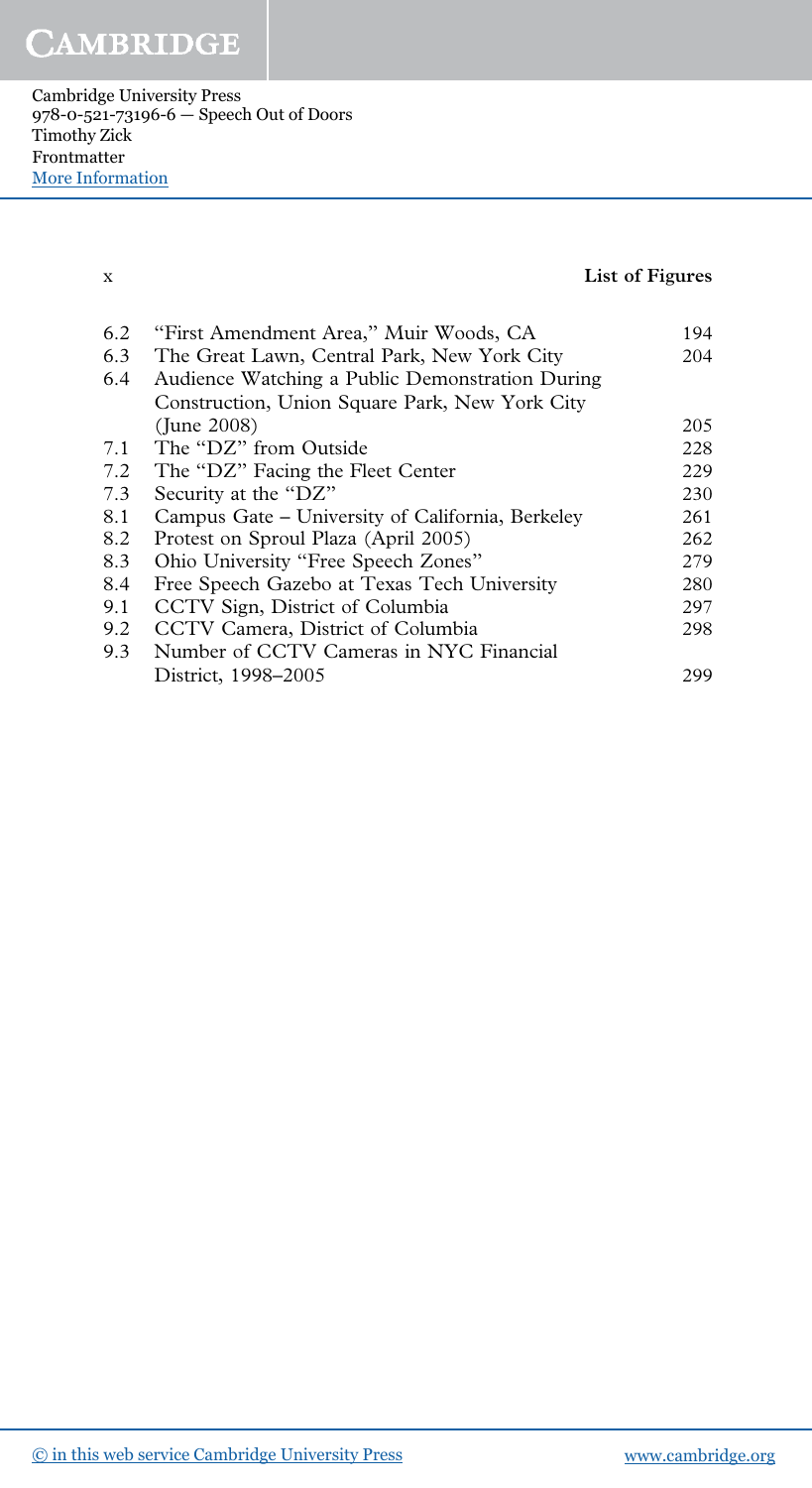Cambridge University Press 978-0-521-73196-6 — Speech Out of Doors Timothy Zick Frontmatter [More Information](www.cambridge.org/9780521731966)

#### x List of Figures

| 6.2 | "First Amendment Area," Muir Woods, CA           | 194 |
|-----|--------------------------------------------------|-----|
| 6.3 | The Great Lawn, Central Park, New York City      | 204 |
| 6.4 | Audience Watching a Public Demonstration During  |     |
|     | Construction, Union Square Park, New York City   |     |
|     | (June 2008)                                      | 205 |
| 7.1 | The "DZ" from Outside                            | 228 |
| 7.2 | The "DZ" Facing the Fleet Center                 | 229 |
| 7.3 | Security at the "DZ"                             | 230 |
| 8.1 | Campus Gate - University of California, Berkeley | 261 |
| 8.2 | Protest on Sproul Plaza (April 2005)             | 262 |
| 8.3 | Ohio University "Free Speech Zones"              | 279 |
| 8.4 | Free Speech Gazebo at Texas Tech University      | 280 |
| 9.1 | CCTV Sign, District of Columbia                  | 297 |
| 9.2 | CCTV Camera, District of Columbia                | 298 |
| 9.3 | Number of CCTV Cameras in NYC Financial          |     |
|     | District, 1998-2005                              | 299 |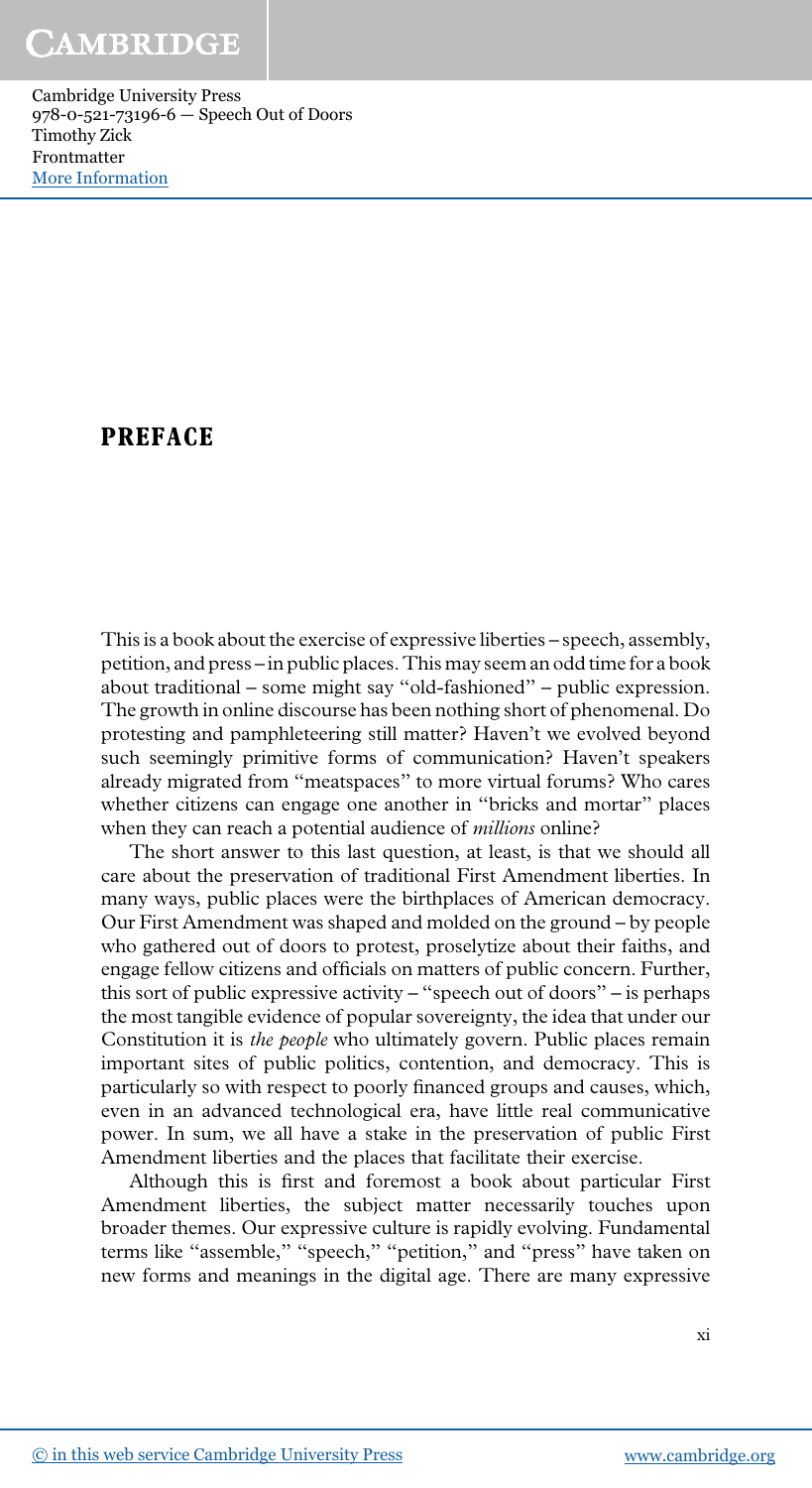#### PREFACE

This is a book about the exercise of expressive liberties – speech, assembly, petition, and press – in public places. This may seem an odd time for a book about traditional – some might say "old-fashioned" – public expression. The growth in online discourse has been nothing short of phenomenal. Do protesting and pamphleteering still matter? Haven't we evolved beyond such seemingly primitive forms of communication? Haven't speakers already migrated from "meatspaces" to more virtual forums? Who cares whether citizens can engage one another in "bricks and mortar" places when they can reach a potential audience of *millions* online?

The short answer to this last question, at least, is that we should all care about the preservation of traditional First Amendment liberties. In many ways, public places were the birthplaces of American democracy. Our First Amendment was shaped and molded on the ground – by people who gathered out of doors to protest, proselytize about their faiths, and engage fellow citizens and officials on matters of public concern. Further, this sort of public expressive activity – "speech out of doors" – is perhaps the most tangible evidence of popular sovereignty, the idea that under our Constitution it is *the people* who ultimately govern. Public places remain important sites of public politics, contention, and democracy. This is particularly so with respect to poorly financed groups and causes, which, even in an advanced technological era, have little real communicative power. In sum, we all have a stake in the preservation of public First Amendment liberties and the places that facilitate their exercise.

Although this is first and foremost a book about particular First Amendment liberties, the subject matter necessarily touches upon broader themes. Our expressive culture is rapidly evolving. Fundamental terms like "assemble," "speech," "petition," and "press" have taken on new forms and meanings in the digital age. There are many expressive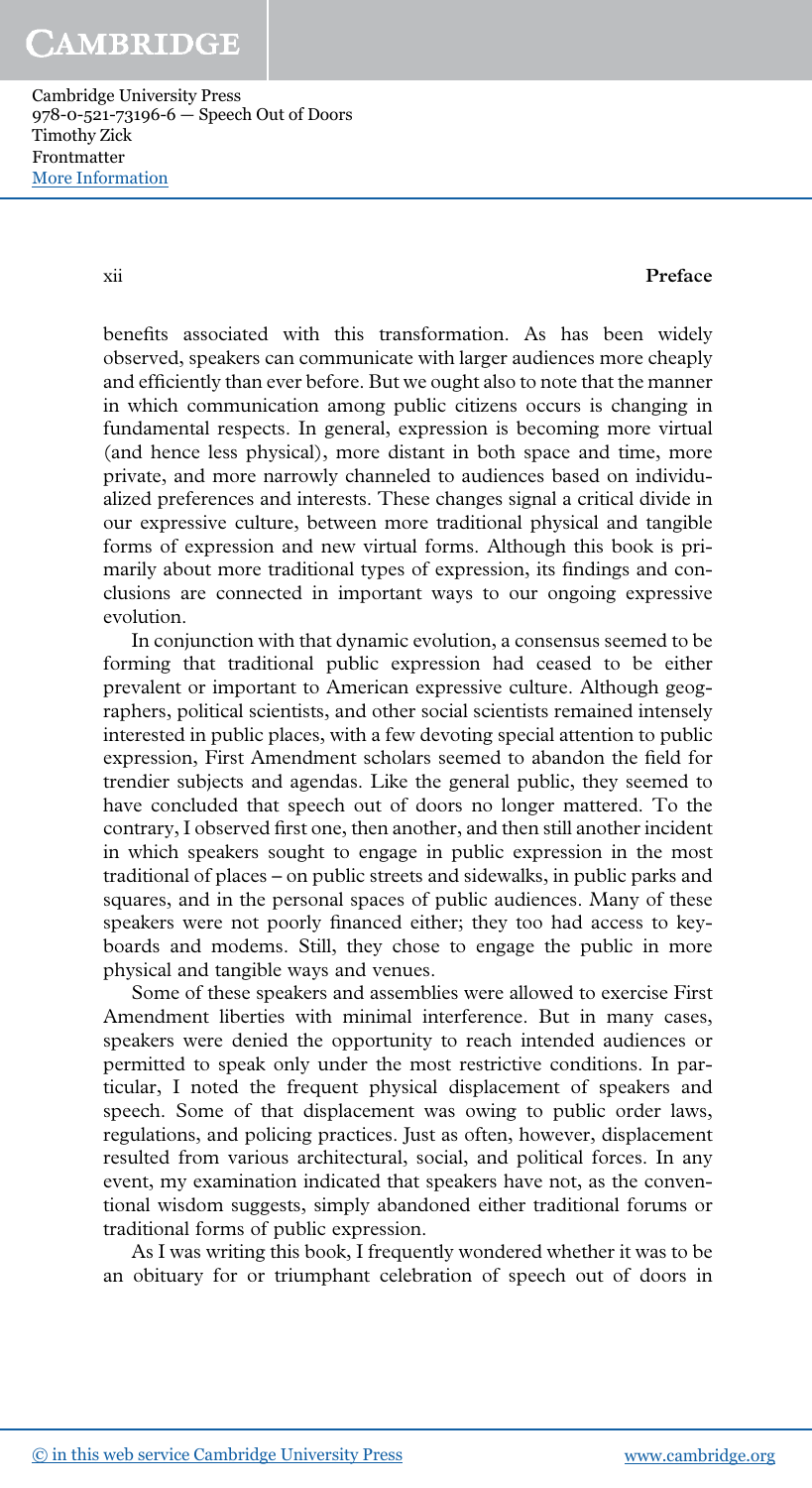Cambridge University Press 978-0-521-73196-6 — Speech Out of Doors Timothy Zick Frontmatter [More Information](www.cambridge.org/9780521731966)

xii Preface

benefits associated with this transformation. As has been widely observed, speakers can communicate with larger audiences more cheaply and efficiently than ever before. But we ought also to note that the manner in which communication among public citizens occurs is changing in fundamental respects. In general, expression is becoming more virtual (and hence less physical), more distant in both space and time, more private, and more narrowly channeled to audiences based on individualized preferences and interests. These changes signal a critical divide in our expressive culture, between more traditional physical and tangible forms of expression and new virtual forms. Although this book is primarily about more traditional types of expression, its findings and conclusions are connected in important ways to our ongoing expressive evolution.

In conjunction with that dynamic evolution, a consensus seemed to be forming that traditional public expression had ceased to be either prevalent or important to American expressive culture. Although geographers, political scientists, and other social scientists remained intensely interested in public places, with a few devoting special attention to public expression, First Amendment scholars seemed to abandon the field for trendier subjects and agendas. Like the general public, they seemed to have concluded that speech out of doors no longer mattered. To the contrary, I observed first one, then another, and then still another incident in which speakers sought to engage in public expression in the most traditional of places – on public streets and sidewalks, in public parks and squares, and in the personal spaces of public audiences. Many of these speakers were not poorly financed either; they too had access to keyboards and modems. Still, they chose to engage the public in more physical and tangible ways and venues.

Some of these speakers and assemblies were allowed to exercise First Amendment liberties with minimal interference. But in many cases, speakers were denied the opportunity to reach intended audiences or permitted to speak only under the most restrictive conditions. In particular, I noted the frequent physical displacement of speakers and speech. Some of that displacement was owing to public order laws, regulations, and policing practices. Just as often, however, displacement resulted from various architectural, social, and political forces. In any event, my examination indicated that speakers have not, as the conventional wisdom suggests, simply abandoned either traditional forums or traditional forms of public expression.

As I was writing this book, I frequently wondered whether it was to be an obituary for or triumphant celebration of speech out of doors in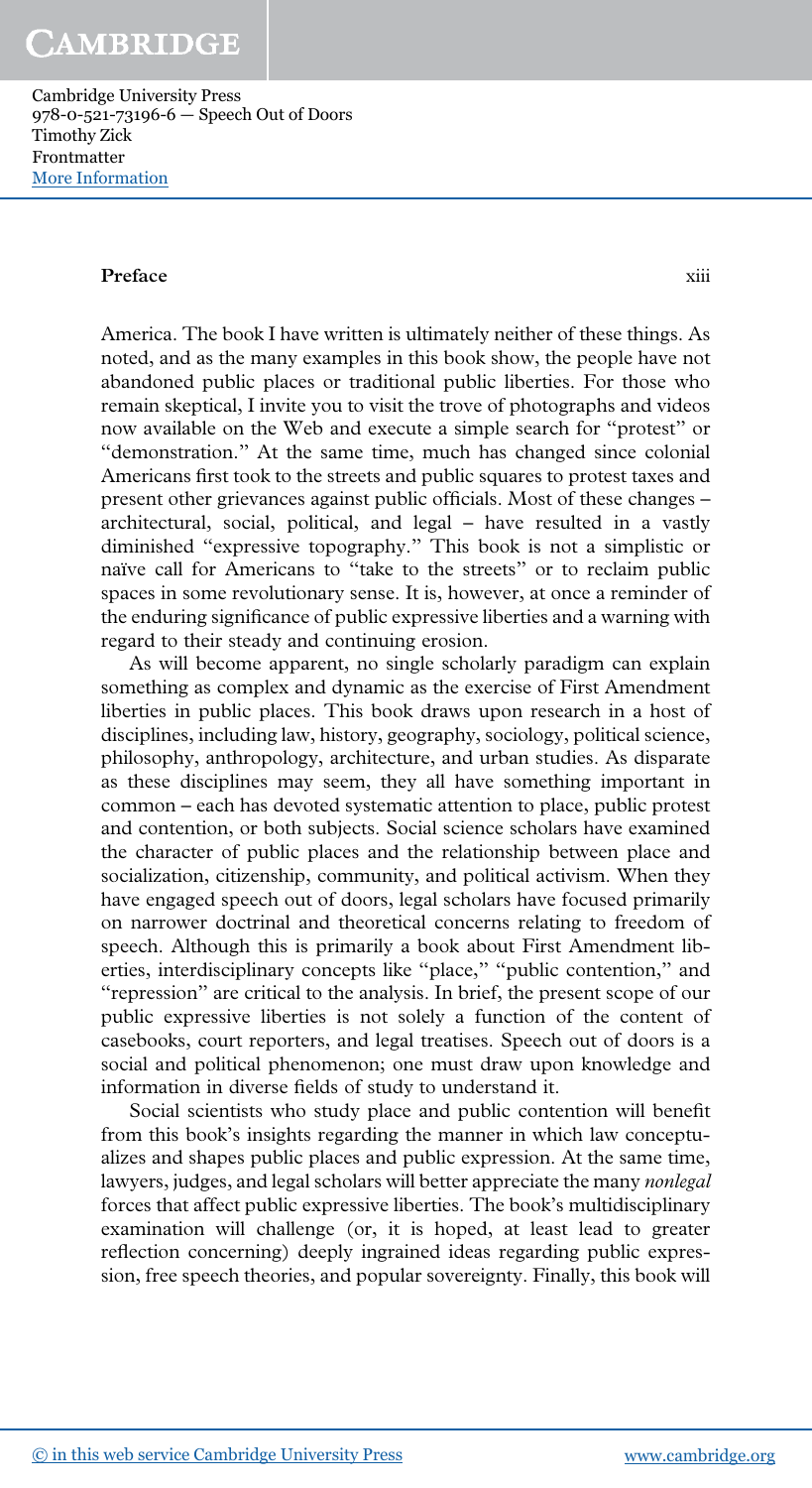Cambridge University Press 978-0-521-73196-6 — Speech Out of Doors Timothy Zick Frontmatter [More Information](www.cambridge.org/9780521731966)

#### Preface xiii

America. The book I have written is ultimately neither of these things. As noted, and as the many examples in this book show, the people have not abandoned public places or traditional public liberties. For those who remain skeptical, I invite you to visit the trove of photographs and videos now available on the Web and execute a simple search for "protest" or "demonstration." At the same time, much has changed since colonial Americans first took to the streets and public squares to protest taxes and present other grievances against public officials. Most of these changes – architectural, social, political, and legal – have resulted in a vastly diminished "expressive topography." This book is not a simplistic or naïve call for Americans to "take to the streets" or to reclaim public spaces in some revolutionary sense. It is, however, at once a reminder of the enduring significance of public expressive liberties and a warning with regard to their steady and continuing erosion.

As will become apparent, no single scholarly paradigm can explain something as complex and dynamic as the exercise of First Amendment liberties in public places. This book draws upon research in a host of disciplines, including law, history, geography, sociology, political science, philosophy, anthropology, architecture, and urban studies. As disparate as these disciplines may seem, they all have something important in common – each has devoted systematic attention to place, public protest and contention, or both subjects. Social science scholars have examined the character of public places and the relationship between place and socialization, citizenship, community, and political activism. When they have engaged speech out of doors, legal scholars have focused primarily on narrower doctrinal and theoretical concerns relating to freedom of speech. Although this is primarily a book about First Amendment liberties, interdisciplinary concepts like "place," "public contention," and "repression" are critical to the analysis. In brief, the present scope of our public expressive liberties is not solely a function of the content of casebooks, court reporters, and legal treatises. Speech out of doors is a social and political phenomenon; one must draw upon knowledge and information in diverse fields of study to understand it.

Social scientists who study place and public contention will benefit from this book's insights regarding the manner in which law conceptualizes and shapes public places and public expression. At the same time, lawyers, judges, and legal scholars will better appreciate the many *nonlegal* forces that affect public expressive liberties. The book's multidisciplinary examination will challenge (or, it is hoped, at least lead to greater reflection concerning) deeply ingrained ideas regarding public expression, free speech theories, and popular sovereignty. Finally, this book will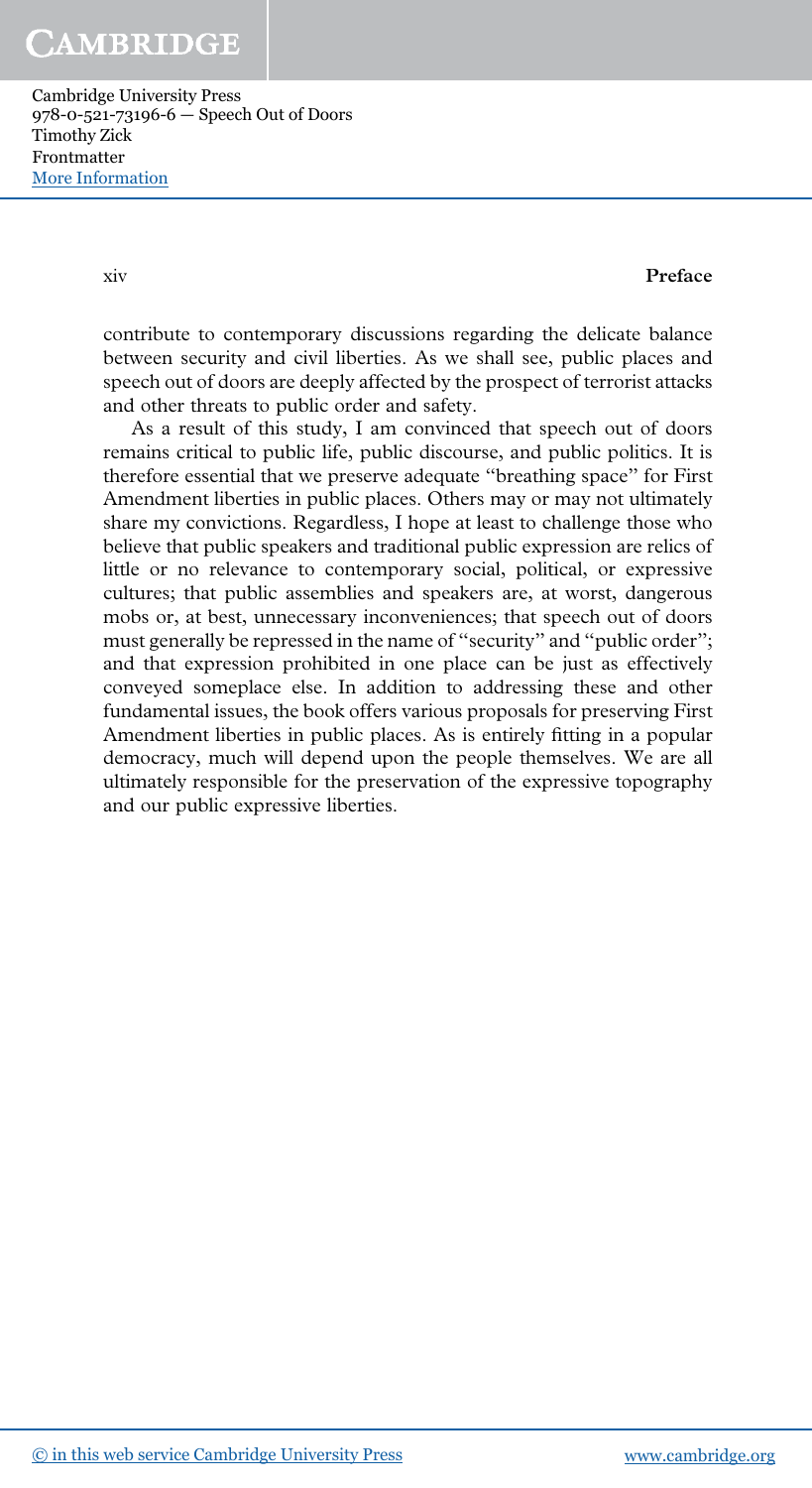Cambridge University Press 978-0-521-73196-6 — Speech Out of Doors Timothy Zick Frontmatter [More Information](www.cambridge.org/9780521731966)

xiv Preface

contribute to contemporary discussions regarding the delicate balance between security and civil liberties. As we shall see, public places and speech out of doors are deeply affected by the prospect of terrorist attacks and other threats to public order and safety.

As a result of this study, I am convinced that speech out of doors remains critical to public life, public discourse, and public politics. It is therefore essential that we preserve adequate "breathing space" for First Amendment liberties in public places. Others may or may not ultimately share my convictions. Regardless, I hope at least to challenge those who believe that public speakers and traditional public expression are relics of little or no relevance to contemporary social, political, or expressive cultures; that public assemblies and speakers are, at worst, dangerous mobs or, at best, unnecessary inconveniences; that speech out of doors must generally be repressed in the name of "security" and "public order"; and that expression prohibited in one place can be just as effectively conveyed someplace else. In addition to addressing these and other fundamental issues, the book offers various proposals for preserving First Amendment liberties in public places. As is entirely fitting in a popular democracy, much will depend upon the people themselves. We are all ultimately responsible for the preservation of the expressive topography and our public expressive liberties.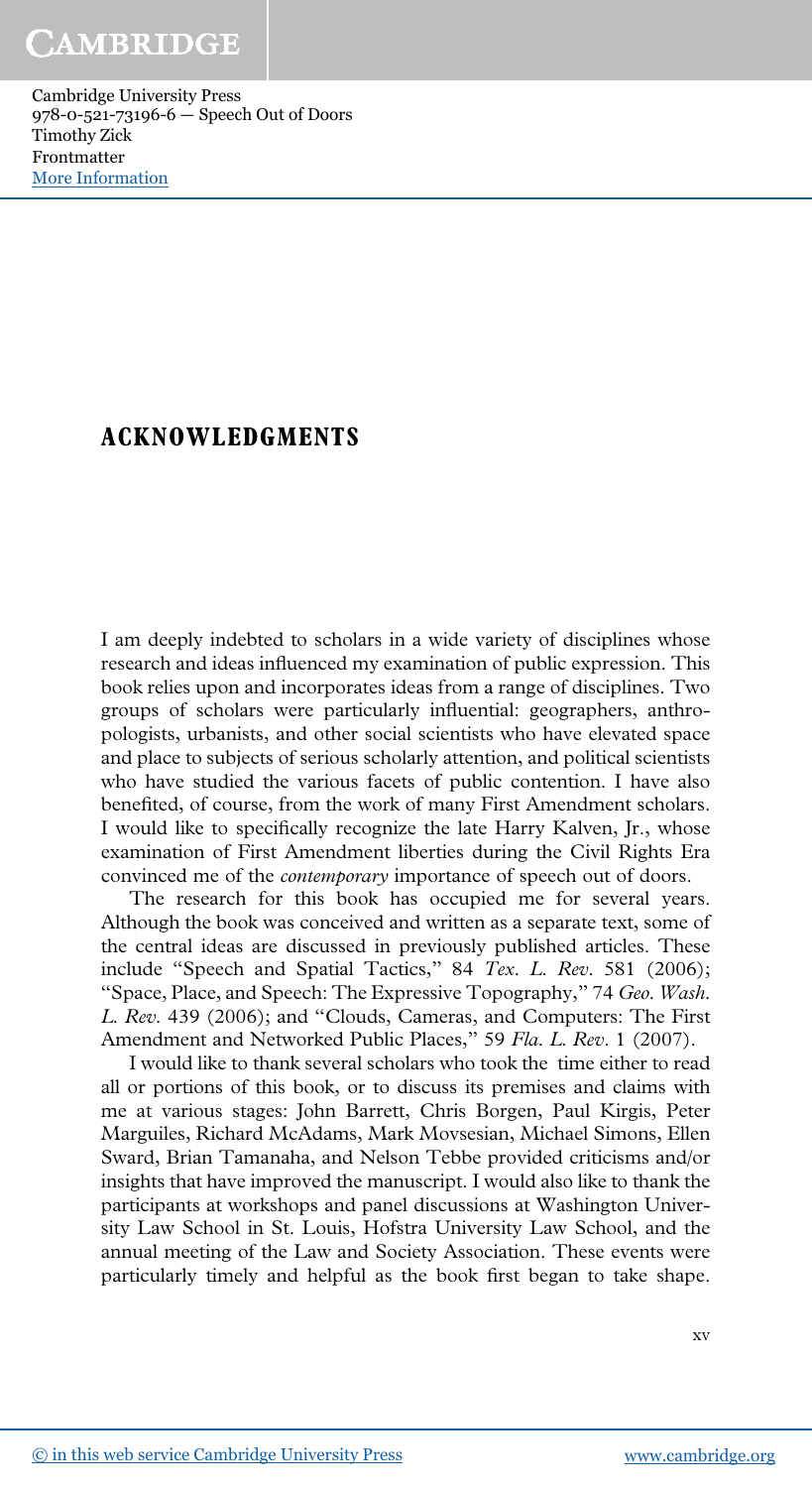#### ACKNOWLEDGMENTS

I am deeply indebted to scholars in a wide variety of disciplines whose research and ideas influenced my examination of public expression. This book relies upon and incorporates ideas from a range of disciplines. Two groups of scholars were particularly influential: geographers, anthropologists, urbanists, and other social scientists who have elevated space and place to subjects of serious scholarly attention, and political scientists who have studied the various facets of public contention. I have also benefited, of course, from the work of many First Amendment scholars. I would like to specifically recognize the late Harry Kalven, Jr., whose examination of First Amendment liberties during the Civil Rights Era convinced me of the contemporary importance of speech out of doors.

The research for this book has occupied me for several years. Although the book was conceived and written as a separate text, some of the central ideas are discussed in previously published articles. These include "Speech and Spatial Tactics," 84 Tex. L. Rev. 581 (2006); "Space, Place, and Speech: The Expressive Topography," 74 Geo. Wash. L. Rev. 439 (2006); and "Clouds, Cameras, and Computers: The First Amendment and Networked Public Places," 59 Fla. L. Rev. 1 (2007).

I would like to thank several scholars who took the time either to read all or portions of this book, or to discuss its premises and claims with me at various stages: John Barrett, Chris Borgen, Paul Kirgis, Peter Marguiles, Richard McAdams, Mark Movsesian, Michael Simons, Ellen Sward, Brian Tamanaha, and Nelson Tebbe provided criticisms and/or insights that have improved the manuscript. I would also like to thank the participants at workshops and panel discussions at Washington University Law School in St. Louis, Hofstra University Law School, and the annual meeting of the Law and Society Association. These events were particularly timely and helpful as the book first began to take shape.

xv